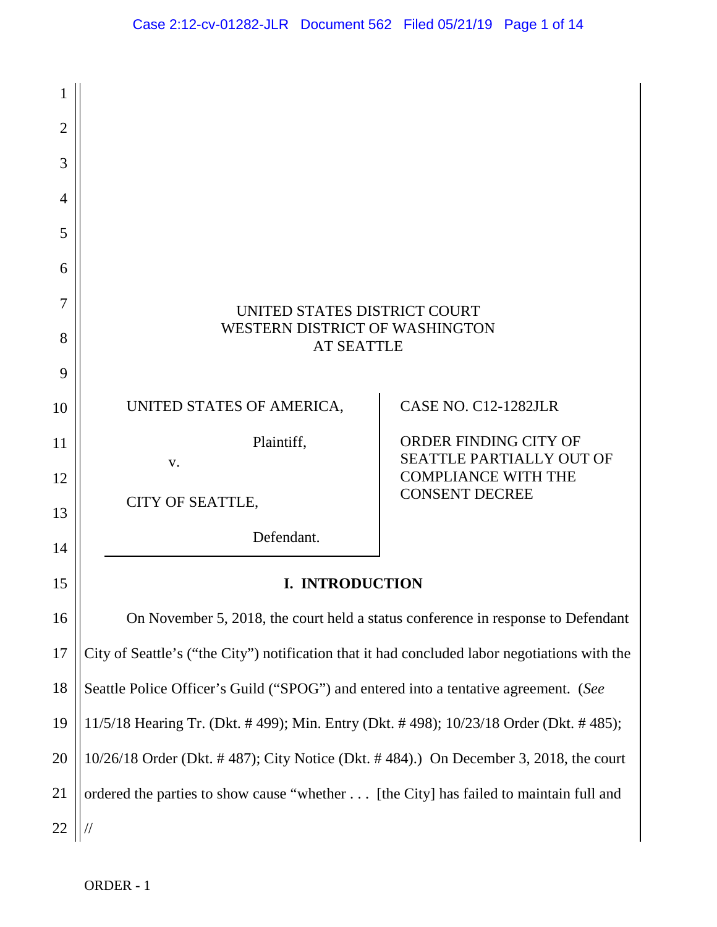| 1              |                                                                                        |                                                                                               |  |  |  |  |  |
|----------------|----------------------------------------------------------------------------------------|-----------------------------------------------------------------------------------------------|--|--|--|--|--|
| $\overline{2}$ |                                                                                        |                                                                                               |  |  |  |  |  |
| 3              |                                                                                        |                                                                                               |  |  |  |  |  |
| 4              |                                                                                        |                                                                                               |  |  |  |  |  |
| 5              |                                                                                        |                                                                                               |  |  |  |  |  |
| 6              |                                                                                        |                                                                                               |  |  |  |  |  |
| 7              | UNITED STATES DISTRICT COURT                                                           |                                                                                               |  |  |  |  |  |
| 8              | <b>WESTERN DISTRICT OF WASHINGTON</b><br><b>AT SEATTLE</b>                             |                                                                                               |  |  |  |  |  |
| 9              |                                                                                        |                                                                                               |  |  |  |  |  |
| 10             | UNITED STATES OF AMERICA,                                                              | CASE NO. C12-1282JLR                                                                          |  |  |  |  |  |
| 11             | Plaintiff,                                                                             | ORDER FINDING CITY OF<br>SEATTLE PARTIALLY OUT OF                                             |  |  |  |  |  |
| 12             | V.                                                                                     | <b>COMPLIANCE WITH THE</b>                                                                    |  |  |  |  |  |
| 13             | CITY OF SEATTLE,                                                                       | <b>CONSENT DECREE</b>                                                                         |  |  |  |  |  |
| 14             | Defendant.                                                                             |                                                                                               |  |  |  |  |  |
| 15             | <b>I. INTRODUCTION</b>                                                                 |                                                                                               |  |  |  |  |  |
| 16             |                                                                                        | On November 5, 2018, the court held a status conference in response to Defendant              |  |  |  |  |  |
| 17             |                                                                                        | City of Seattle's ("the City") notification that it had concluded labor negotiations with the |  |  |  |  |  |
| 18             | Seattle Police Officer's Guild ("SPOG") and entered into a tentative agreement. (See   |                                                                                               |  |  |  |  |  |
| 19             | 11/5/18 Hearing Tr. (Dkt. #499); Min. Entry (Dkt. #498); 10/23/18 Order (Dkt. #485);   |                                                                                               |  |  |  |  |  |
| 20             | $10/26/18$ Order (Dkt. #487); City Notice (Dkt. #484).) On December 3, 2018, the court |                                                                                               |  |  |  |  |  |
| 21             | ordered the parties to show cause "whether [the City] has failed to maintain full and  |                                                                                               |  |  |  |  |  |
| 22             |                                                                                        |                                                                                               |  |  |  |  |  |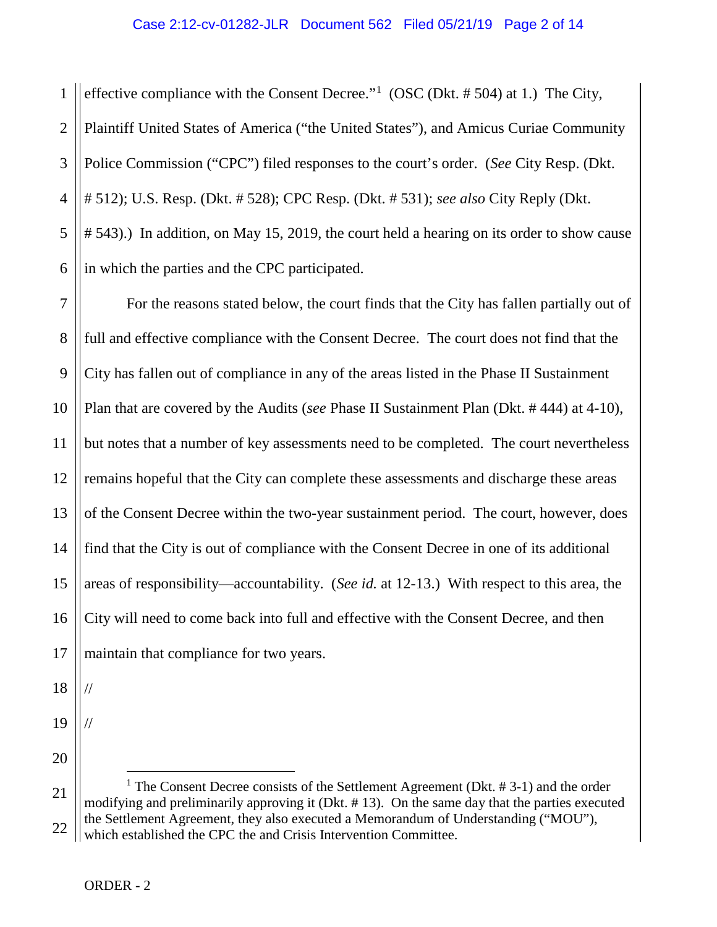## Case 2:12-cv-01282-JLR Document 562 Filed 05/21/19 Page 2 of 14

1 2 3 4 5 6 effective compliance with the Consent Decree."<sup>[1](#page-1-0)</sup> (OSC (Dkt.  $# 504$ ) at 1.) The City, Plaintiff United States of America ("the United States"), and Amicus Curiae Community Police Commission ("CPC") filed responses to the court's order. (*See* City Resp. (Dkt. # 512); U.S. Resp. (Dkt. # 528); CPC Resp. (Dkt. # 531); *see also* City Reply (Dkt. # 543).) In addition, on May 15, 2019, the court held a hearing on its order to show cause in which the parties and the CPC participated.

7 8 9 10 11 12 13 14 15 16 17 For the reasons stated below, the court finds that the City has fallen partially out of full and effective compliance with the Consent Decree. The court does not find that the City has fallen out of compliance in any of the areas listed in the Phase II Sustainment Plan that are covered by the Audits (*see* Phase II Sustainment Plan (Dkt. # 444) at 4-10), but notes that a number of key assessments need to be completed. The court nevertheless remains hopeful that the City can complete these assessments and discharge these areas of the Consent Decree within the two-year sustainment period. The court, however, does find that the City is out of compliance with the Consent Decree in one of its additional areas of responsibility—accountability. (*See id.* at 12-13.) With respect to this area, the City will need to come back into full and effective with the Consent Decree, and then maintain that compliance for two years.

18 19

//

//

20

<span id="page-1-0"></span>21 22 <sup>1</sup> The Consent Decree consists of the Settlement Agreement (Dkt.  $# 3-1$ ) and the order modifying and preliminarily approving it (Dkt. # 13). On the same day that the parties executed the Settlement Agreement, they also executed a Memorandum of Understanding ("MOU"), which established the CPC the and Crisis Intervention Committee.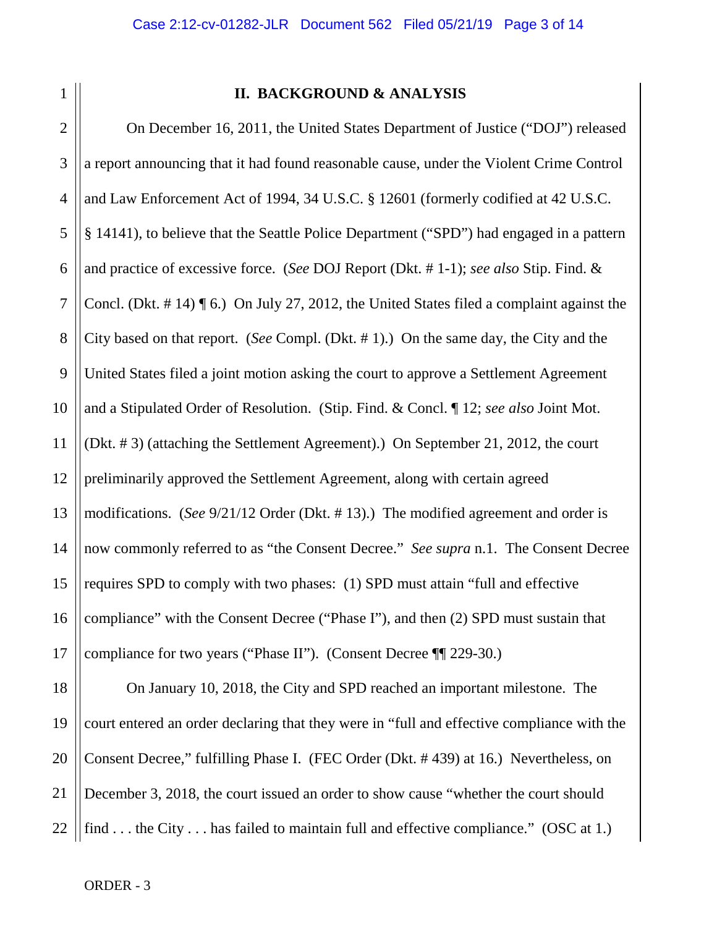| ٧ |  |  |
|---|--|--|
|   |  |  |
|   |  |  |
|   |  |  |

## **II. BACKGROUND & ANALYSIS**

2 3 4 5 6 7 8 9 10 11 12 13 14 15 16 17 On December 16, 2011, the United States Department of Justice ("DOJ") released a report announcing that it had found reasonable cause, under the Violent Crime Control and Law Enforcement Act of 1994, 34 U.S.C. § 12601 (formerly codified at 42 U.S.C. § 14141), to believe that the Seattle Police Department ("SPD") had engaged in a pattern and practice of excessive force. (*See* DOJ Report (Dkt. # 1-1); *see also* Stip. Find. & Concl. (Dkt. # 14) ¶ 6.) On July 27, 2012, the United States filed a complaint against the City based on that report. (*See* Compl. (Dkt. # 1).) On the same day, the City and the United States filed a joint motion asking the court to approve a Settlement Agreement and a Stipulated Order of Resolution. (Stip. Find. & Concl. ¶ 12; *see also* Joint Mot. (Dkt. # 3) (attaching the Settlement Agreement).) On September 21, 2012, the court preliminarily approved the Settlement Agreement, along with certain agreed modifications. (*See* 9/21/12 Order (Dkt. # 13).) The modified agreement and order is now commonly referred to as "the Consent Decree." *See supra* n.1. The Consent Decree requires SPD to comply with two phases: (1) SPD must attain "full and effective compliance" with the Consent Decree ("Phase I"), and then (2) SPD must sustain that compliance for two years ("Phase II"). (Consent Decree ¶¶ 229-30.)

18 19 20 21 22 On January 10, 2018, the City and SPD reached an important milestone. The court entered an order declaring that they were in "full and effective compliance with the Consent Decree," fulfilling Phase I. (FEC Order (Dkt. # 439) at 16.) Nevertheless, on December 3, 2018, the court issued an order to show cause "whether the court should find . . . the City . . . has failed to maintain full and effective compliance." (OSC at 1.)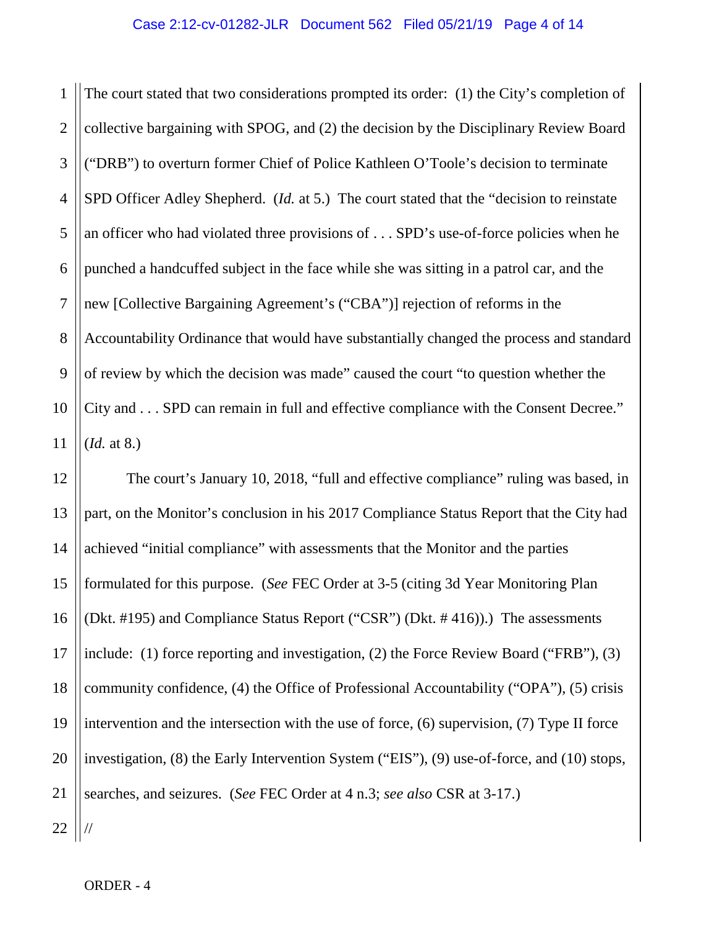1 2 3 4 5 6 7 8 9 10 11 The court stated that two considerations prompted its order: (1) the City's completion of collective bargaining with SPOG, and (2) the decision by the Disciplinary Review Board ("DRB") to overturn former Chief of Police Kathleen O'Toole's decision to terminate SPD Officer Adley Shepherd. (*Id.* at 5.) The court stated that the "decision to reinstate an officer who had violated three provisions of . . . SPD's use-of-force policies when he punched a handcuffed subject in the face while she was sitting in a patrol car, and the new [Collective Bargaining Agreement's ("CBA")] rejection of reforms in the Accountability Ordinance that would have substantially changed the process and standard of review by which the decision was made" caused the court "to question whether the City and . . . SPD can remain in full and effective compliance with the Consent Decree." (*Id.* at 8.)

12 13 14 15 16 17 18 19 20 21 22 The court's January 10, 2018, "full and effective compliance" ruling was based, in part, on the Monitor's conclusion in his 2017 Compliance Status Report that the City had achieved "initial compliance" with assessments that the Monitor and the parties formulated for this purpose. (*See* FEC Order at 3-5 (citing 3d Year Monitoring Plan (Dkt. #195) and Compliance Status Report ("CSR") (Dkt. # 416)).) The assessments include: (1) force reporting and investigation, (2) the Force Review Board ("FRB"), (3) community confidence, (4) the Office of Professional Accountability ("OPA"), (5) crisis intervention and the intersection with the use of force, (6) supervision, (7) Type II force investigation, (8) the Early Intervention System ("EIS"), (9) use-of-force, and (10) stops, searches, and seizures. (*See* FEC Order at 4 n.3; *see also* CSR at 3-17.) //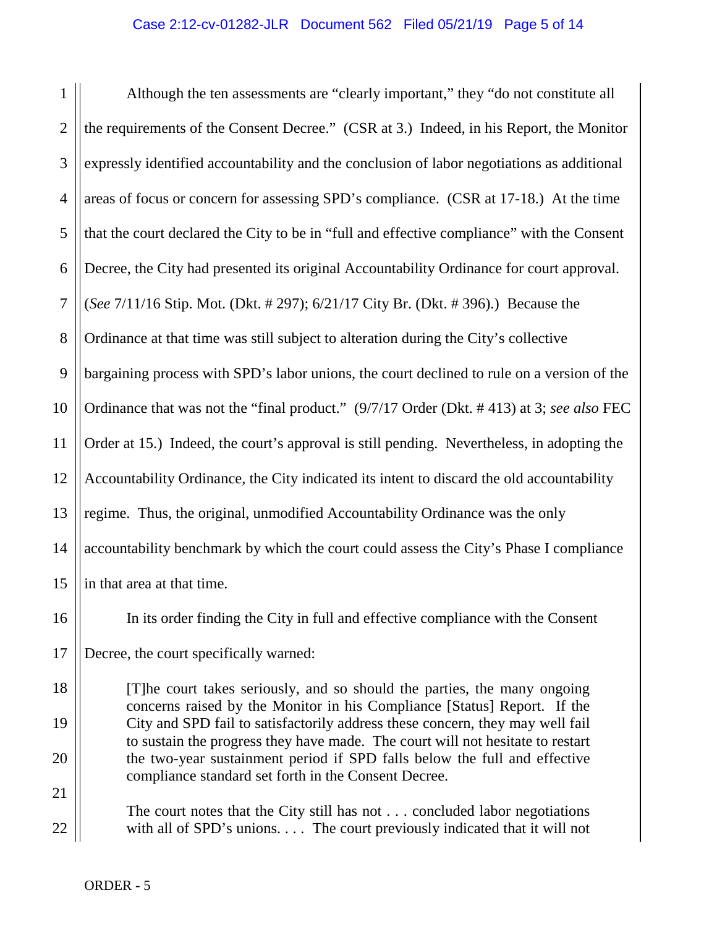## Case 2:12-cv-01282-JLR Document 562 Filed 05/21/19 Page 5 of 14

1 2 3 4 5 6 7 8 9 10 11 12 13 14 15 Although the ten assessments are "clearly important," they "do not constitute all the requirements of the Consent Decree." (CSR at 3.) Indeed, in his Report, the Monitor expressly identified accountability and the conclusion of labor negotiations as additional areas of focus or concern for assessing SPD's compliance. (CSR at 17-18.) At the time that the court declared the City to be in "full and effective compliance" with the Consent Decree, the City had presented its original Accountability Ordinance for court approval. (*See* 7/11/16 Stip. Mot. (Dkt. # 297); 6/21/17 City Br. (Dkt. # 396).) Because the Ordinance at that time was still subject to alteration during the City's collective bargaining process with SPD's labor unions, the court declined to rule on a version of the Ordinance that was not the "final product." (9/7/17 Order (Dkt. # 413) at 3; *see also* FEC Order at 15.) Indeed, the court's approval is still pending. Nevertheless, in adopting the Accountability Ordinance, the City indicated its intent to discard the old accountability regime. Thus, the original, unmodified Accountability Ordinance was the only accountability benchmark by which the court could assess the City's Phase I compliance in that area at that time.

16 17 In its order finding the City in full and effective compliance with the Consent Decree, the court specifically warned:

[T]he court takes seriously, and so should the parties, the many ongoing concerns raised by the Monitor in his Compliance [Status] Report. If the City and SPD fail to satisfactorily address these concern, they may well fail to sustain the progress they have made. The court will not hesitate to restart the two-year sustainment period if SPD falls below the full and effective compliance standard set forth in the Consent Decree.

The court notes that the City still has not . . . concluded labor negotiations with all of SPD's unions. . . . The court previously indicated that it will not

18

19

20

21

22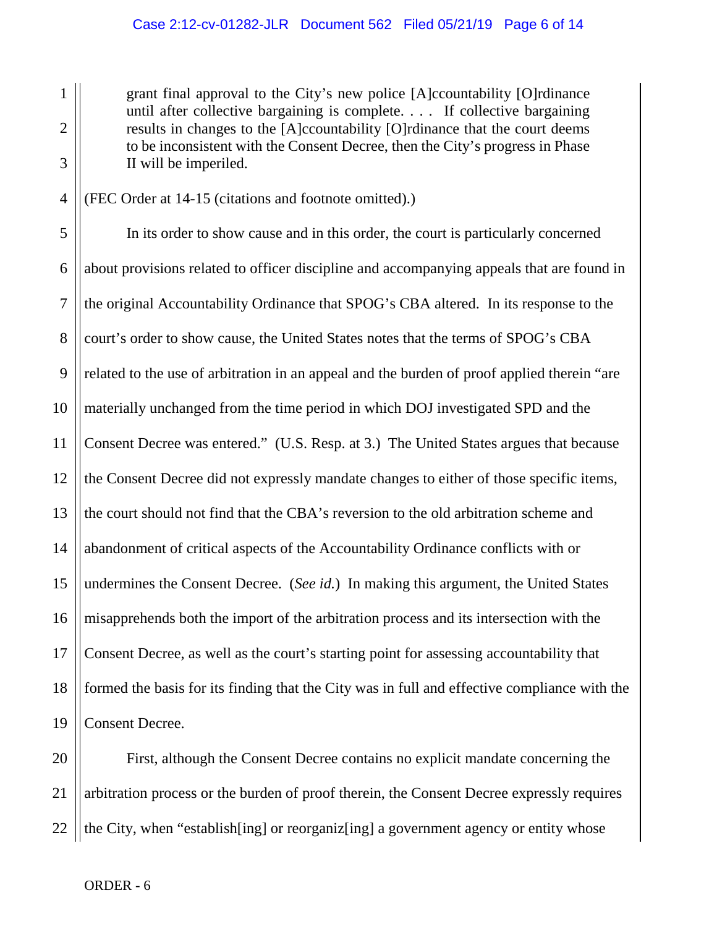grant final approval to the City's new police [A]ccountability [O]rdinance until after collective bargaining is complete. . . . If collective bargaining results in changes to the [A]ccountability [O]rdinance that the court deems to be inconsistent with the Consent Decree, then the City's progress in Phase II will be imperiled.

4 (FEC Order at 14-15 (citations and footnote omitted).)

1

2

3

5 6 7 8 9 10 11 12 13 14 15 16 17 18 19 In its order to show cause and in this order, the court is particularly concerned about provisions related to officer discipline and accompanying appeals that are found in the original Accountability Ordinance that SPOG's CBA altered. In its response to the court's order to show cause, the United States notes that the terms of SPOG's CBA related to the use of arbitration in an appeal and the burden of proof applied therein "are materially unchanged from the time period in which DOJ investigated SPD and the Consent Decree was entered." (U.S. Resp. at 3.) The United States argues that because the Consent Decree did not expressly mandate changes to either of those specific items, the court should not find that the CBA's reversion to the old arbitration scheme and abandonment of critical aspects of the Accountability Ordinance conflicts with or undermines the Consent Decree. (*See id.*) In making this argument, the United States misapprehends both the import of the arbitration process and its intersection with the Consent Decree, as well as the court's starting point for assessing accountability that formed the basis for its finding that the City was in full and effective compliance with the Consent Decree.

20 21 22 First, although the Consent Decree contains no explicit mandate concerning the arbitration process or the burden of proof therein, the Consent Decree expressly requires the City, when "establish[ing] or reorganiz[ing] a government agency or entity whose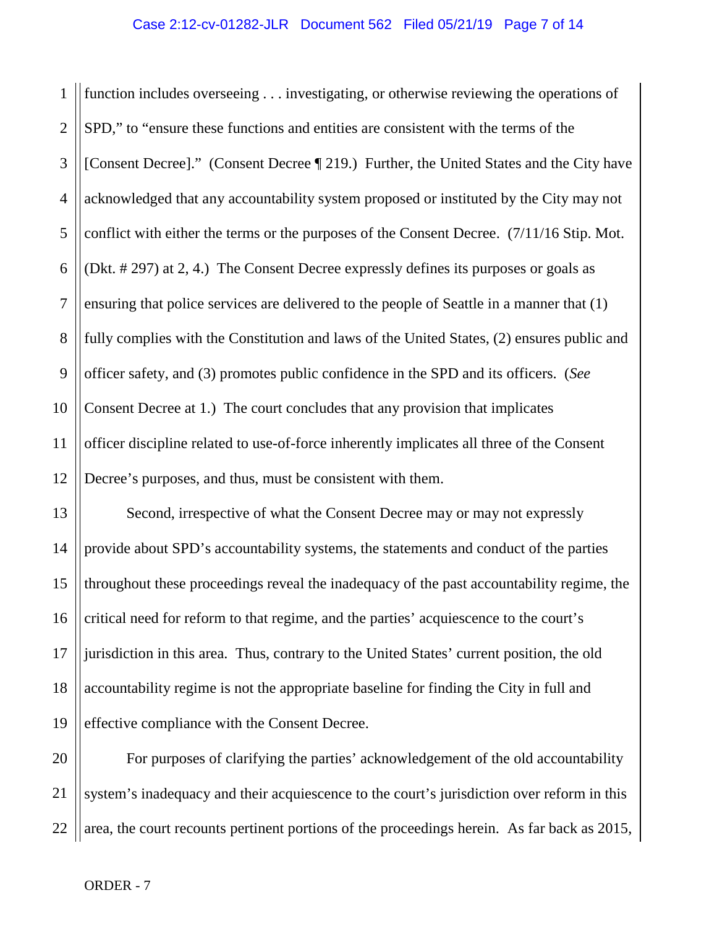1 2 3 4 5 6 7 8 9 10 11 12 function includes overseeing . . . investigating, or otherwise reviewing the operations of SPD," to "ensure these functions and entities are consistent with the terms of the [Consent Decree]." (Consent Decree ¶ 219.) Further, the United States and the City have acknowledged that any accountability system proposed or instituted by the City may not conflict with either the terms or the purposes of the Consent Decree. (7/11/16 Stip. Mot. (Dkt. # 297) at 2, 4.) The Consent Decree expressly defines its purposes or goals as ensuring that police services are delivered to the people of Seattle in a manner that (1) fully complies with the Constitution and laws of the United States, (2) ensures public and officer safety, and (3) promotes public confidence in the SPD and its officers. (*See*  Consent Decree at 1.) The court concludes that any provision that implicates officer discipline related to use-of-force inherently implicates all three of the Consent Decree's purposes, and thus, must be consistent with them.

13 14 15 16 17 18 19 Second, irrespective of what the Consent Decree may or may not expressly provide about SPD's accountability systems, the statements and conduct of the parties throughout these proceedings reveal the inadequacy of the past accountability regime, the critical need for reform to that regime, and the parties' acquiescence to the court's jurisdiction in this area. Thus, contrary to the United States' current position, the old accountability regime is not the appropriate baseline for finding the City in full and effective compliance with the Consent Decree.

20 21 22 For purposes of clarifying the parties' acknowledgement of the old accountability system's inadequacy and their acquiescence to the court's jurisdiction over reform in this area, the court recounts pertinent portions of the proceedings herein. As far back as 2015,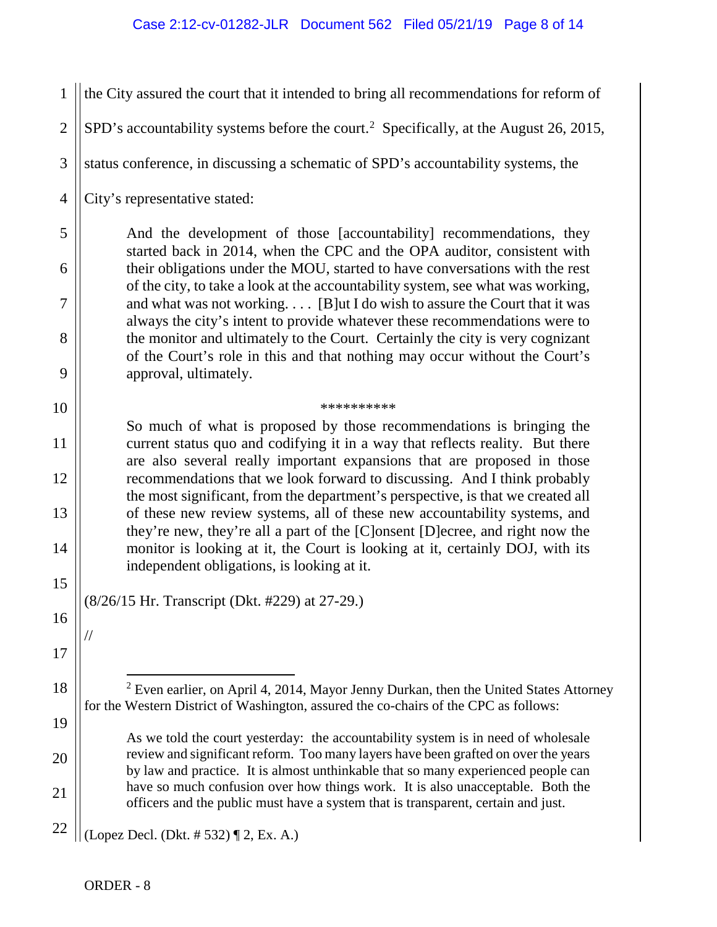<span id="page-7-0"></span>1 2 3 4 5 6 7 8 9 10 11 12 13 14 15 16 17 18 19 20 21 22 the City assured the court that it intended to bring all recommendations for reform of SPD's accountability systems before the court.<sup>[2](#page-7-0)</sup> Specifically, at the August 26, 2015, status conference, in discussing a schematic of SPD's accountability systems, the City's representative stated: And the development of those [accountability] recommendations, they started back in 2014, when the CPC and the OPA auditor, consistent with their obligations under the MOU, started to have conversations with the rest of the city, to take a look at the accountability system, see what was working, and what was not working. . . . [B]ut I do wish to assure the Court that it was always the city's intent to provide whatever these recommendations were to the monitor and ultimately to the Court. Certainly the city is very cognizant of the Court's role in this and that nothing may occur without the Court's approval, ultimately. \*\*\*\*\*\*\*\*\*\* So much of what is proposed by those recommendations is bringing the current status quo and codifying it in a way that reflects reality. But there are also several really important expansions that are proposed in those recommendations that we look forward to discussing. And I think probably the most significant, from the department's perspective, is that we created all of these new review systems, all of these new accountability systems, and they're new, they're all a part of the [C]onsent [D]ecree, and right now the monitor is looking at it, the Court is looking at it, certainly DOJ, with its independent obligations, is looking at it. (8/26/15 Hr. Transcript (Dkt. #229) at 27-29.) //  $2$  Even earlier, on April 4, 2014, Mayor Jenny Durkan, then the United States Attorney for the Western District of Washington, assured the co-chairs of the CPC as follows: As we told the court yesterday: the accountability system is in need of wholesale review and significant reform. Too many layers have been grafted on over the years by law and practice. It is almost unthinkable that so many experienced people can have so much confusion over how things work. It is also unacceptable. Both the officers and the public must have a system that is transparent, certain and just. (Lopez Decl. (Dkt. # 532) ¶ 2, Ex. A.)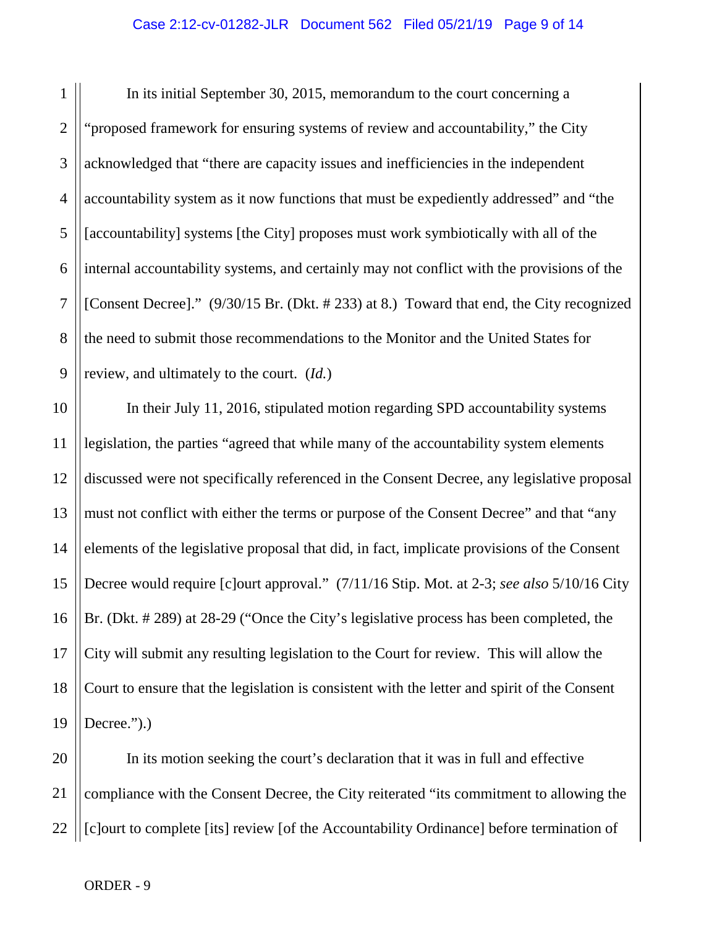1 2 3 4 5 6 7 8 9 In its initial September 30, 2015, memorandum to the court concerning a "proposed framework for ensuring systems of review and accountability," the City acknowledged that "there are capacity issues and inefficiencies in the independent accountability system as it now functions that must be expediently addressed" and "the [accountability] systems [the City] proposes must work symbiotically with all of the internal accountability systems, and certainly may not conflict with the provisions of the [Consent Decree]." (9/30/15 Br. (Dkt. # 233) at 8.) Toward that end, the City recognized the need to submit those recommendations to the Monitor and the United States for review, and ultimately to the court. (*Id.*)

10 11 12 13 14 15 16 17 18 19 In their July 11, 2016, stipulated motion regarding SPD accountability systems legislation, the parties "agreed that while many of the accountability system elements discussed were not specifically referenced in the Consent Decree, any legislative proposal must not conflict with either the terms or purpose of the Consent Decree" and that "any elements of the legislative proposal that did, in fact, implicate provisions of the Consent Decree would require [c]ourt approval." (7/11/16 Stip. Mot. at 2-3; *see also* 5/10/16 City Br. (Dkt. # 289) at 28-29 ("Once the City's legislative process has been completed, the City will submit any resulting legislation to the Court for review. This will allow the Court to ensure that the legislation is consistent with the letter and spirit of the Consent Decree.").

20 21 22 In its motion seeking the court's declaration that it was in full and effective compliance with the Consent Decree, the City reiterated "its commitment to allowing the [c]ourt to complete [its] review [of the Accountability Ordinance] before termination of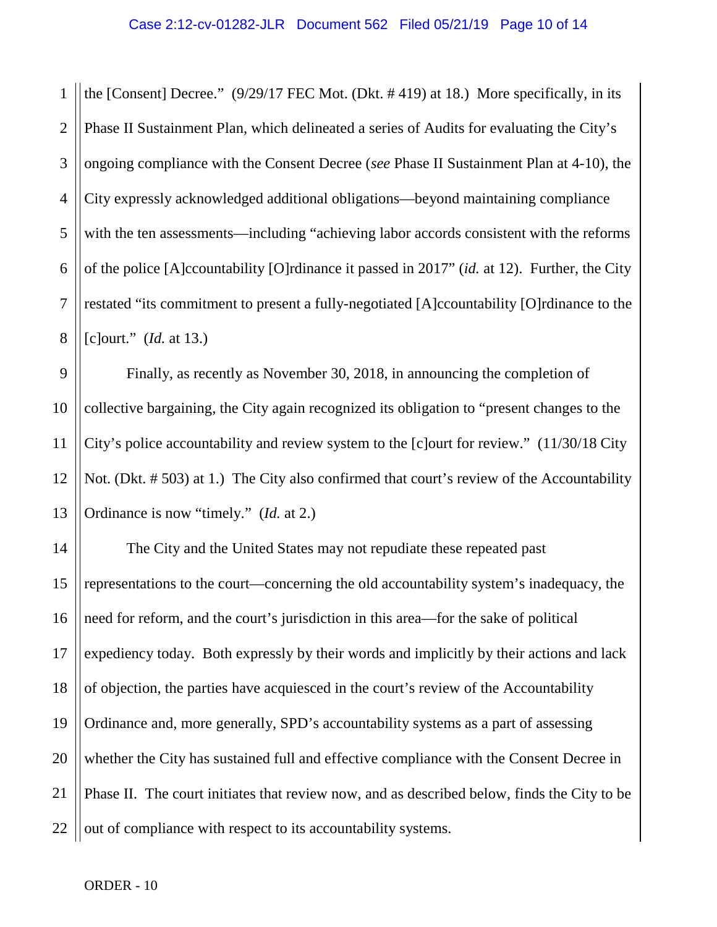1 2 3 4 5 6 7 8 the [Consent] Decree." (9/29/17 FEC Mot. (Dkt. # 419) at 18.) More specifically, in its Phase II Sustainment Plan, which delineated a series of Audits for evaluating the City's ongoing compliance with the Consent Decree (*see* Phase II Sustainment Plan at 4-10), the City expressly acknowledged additional obligations—beyond maintaining compliance with the ten assessments—including "achieving labor accords consistent with the reforms of the police [A]ccountability [O]rdinance it passed in 2017" (*id.* at 12). Further, the City restated "its commitment to present a fully-negotiated [A]ccountability [O]rdinance to the [c]ourt." (*Id.* at 13.)

9 10 11 12 13 Finally, as recently as November 30, 2018, in announcing the completion of collective bargaining, the City again recognized its obligation to "present changes to the City's police accountability and review system to the [c]ourt for review." (11/30/18 City Not. (Dkt. # 503) at 1.) The City also confirmed that court's review of the Accountability Ordinance is now "timely." (*Id.* at 2.)

14 15 16 17 18 19 20 21 22 The City and the United States may not repudiate these repeated past representations to the court—concerning the old accountability system's inadequacy, the need for reform, and the court's jurisdiction in this area—for the sake of political expediency today. Both expressly by their words and implicitly by their actions and lack of objection, the parties have acquiesced in the court's review of the Accountability Ordinance and, more generally, SPD's accountability systems as a part of assessing whether the City has sustained full and effective compliance with the Consent Decree in Phase II. The court initiates that review now, and as described below, finds the City to be out of compliance with respect to its accountability systems.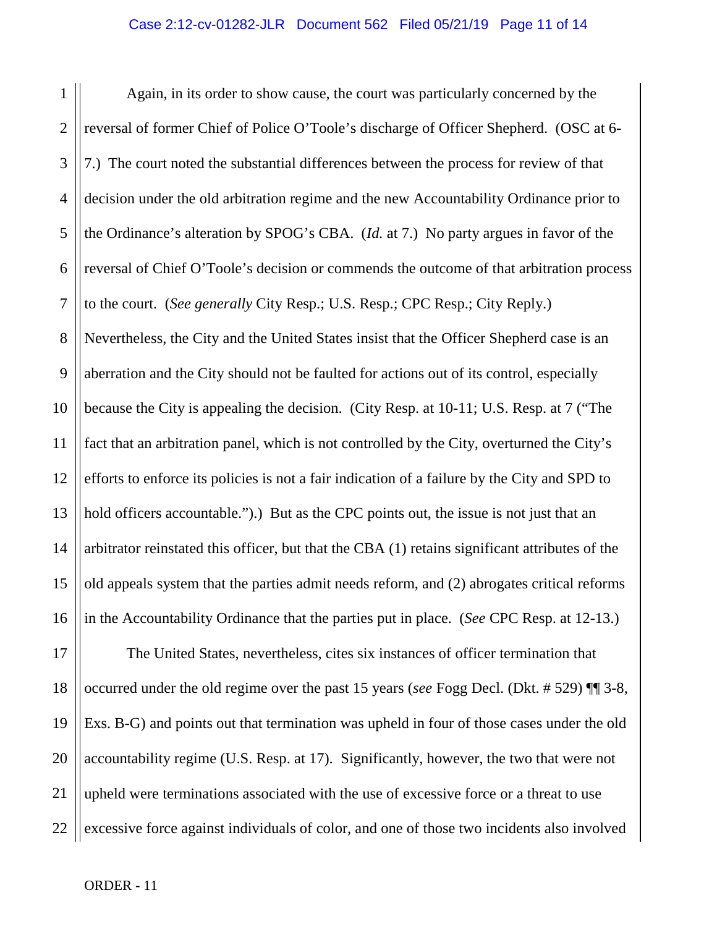1 2 3 4 5 6 7 8 9 10 11 12 13 14 15 16 Again, in its order to show cause, the court was particularly concerned by the reversal of former Chief of Police O'Toole's discharge of Officer Shepherd. (OSC at 6- 7.) The court noted the substantial differences between the process for review of that decision under the old arbitration regime and the new Accountability Ordinance prior to the Ordinance's alteration by SPOG's CBA. (*Id.* at 7.) No party argues in favor of the reversal of Chief O'Toole's decision or commends the outcome of that arbitration process to the court. (*See generally* City Resp.; U.S. Resp.; CPC Resp.; City Reply.) Nevertheless, the City and the United States insist that the Officer Shepherd case is an aberration and the City should not be faulted for actions out of its control, especially because the City is appealing the decision. (City Resp. at 10-11; U.S. Resp. at 7 ("The fact that an arbitration panel, which is not controlled by the City, overturned the City's efforts to enforce its policies is not a fair indication of a failure by the City and SPD to hold officers accountable.").) But as the CPC points out, the issue is not just that an arbitrator reinstated this officer, but that the CBA (1) retains significant attributes of the old appeals system that the parties admit needs reform, and (2) abrogates critical reforms in the Accountability Ordinance that the parties put in place. (*See* CPC Resp. at 12-13.)

17 18 19 20 21 22 The United States, nevertheless, cites six instances of officer termination that occurred under the old regime over the past 15 years (*see* Fogg Decl. (Dkt. # 529) ¶¶ 3-8, Exs. B-G) and points out that termination was upheld in four of those cases under the old accountability regime (U.S. Resp. at 17). Significantly, however, the two that were not upheld were terminations associated with the use of excessive force or a threat to use excessive force against individuals of color, and one of those two incidents also involved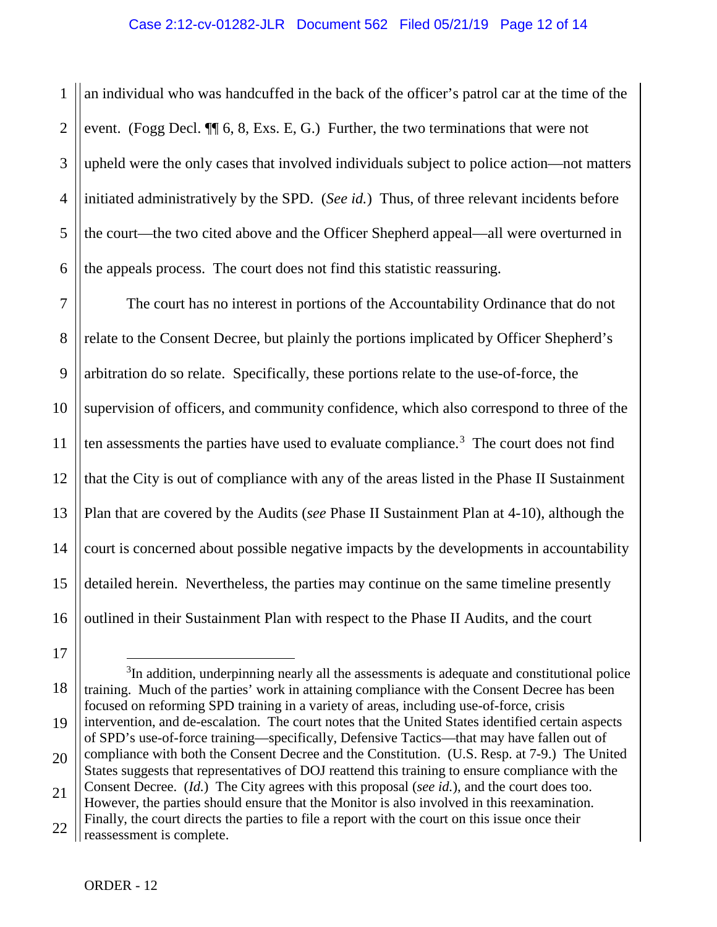1 2 3 4 5 6 an individual who was handcuffed in the back of the officer's patrol car at the time of the event. (Fogg Decl. ¶¶ 6, 8, Exs. E, G.) Further, the two terminations that were not upheld were the only cases that involved individuals subject to police action—not matters initiated administratively by the SPD. (*See id.*) Thus, of three relevant incidents before the court—the two cited above and the Officer Shepherd appeal—all were overturned in the appeals process. The court does not find this statistic reassuring.

7 8 9 10 11 12 13 14 15 16 The court has no interest in portions of the Accountability Ordinance that do not relate to the Consent Decree, but plainly the portions implicated by Officer Shepherd's arbitration do so relate. Specifically, these portions relate to the use-of-force, the supervision of officers, and community confidence, which also correspond to three of the ten assessments the parties have used to evaluate compliance. [3](#page-11-0) The court does not find that the City is out of compliance with any of the areas listed in the Phase II Sustainment Plan that are covered by the Audits (*see* Phase II Sustainment Plan at 4-10), although the court is concerned about possible negative impacts by the developments in accountability detailed herein. Nevertheless, the parties may continue on the same timeline presently outlined in their Sustainment Plan with respect to the Phase II Audits, and the court

17

<span id="page-11-0"></span>18 19 20 21 3  $3$ In addition, underpinning nearly all the assessments is adequate and constitutional police training. Much of the parties' work in attaining compliance with the Consent Decree has been focused on reforming SPD training in a variety of areas, including use-of-force, crisis intervention, and de-escalation. The court notes that the United States identified certain aspects of SPD's use-of-force training—specifically, Defensive Tactics—that may have fallen out of compliance with both the Consent Decree and the Constitution. (U.S. Resp. at 7-9.) The United States suggests that representatives of DOJ reattend this training to ensure compliance with the Consent Decree. (*Id.*) The City agrees with this proposal (*see id.*), and the court does too. However, the parties should ensure that the Monitor is also involved in this reexamination. Finally, the court directs the parties to file a report with the court on this issue once their

<sup>22</sup> reassessment is complete.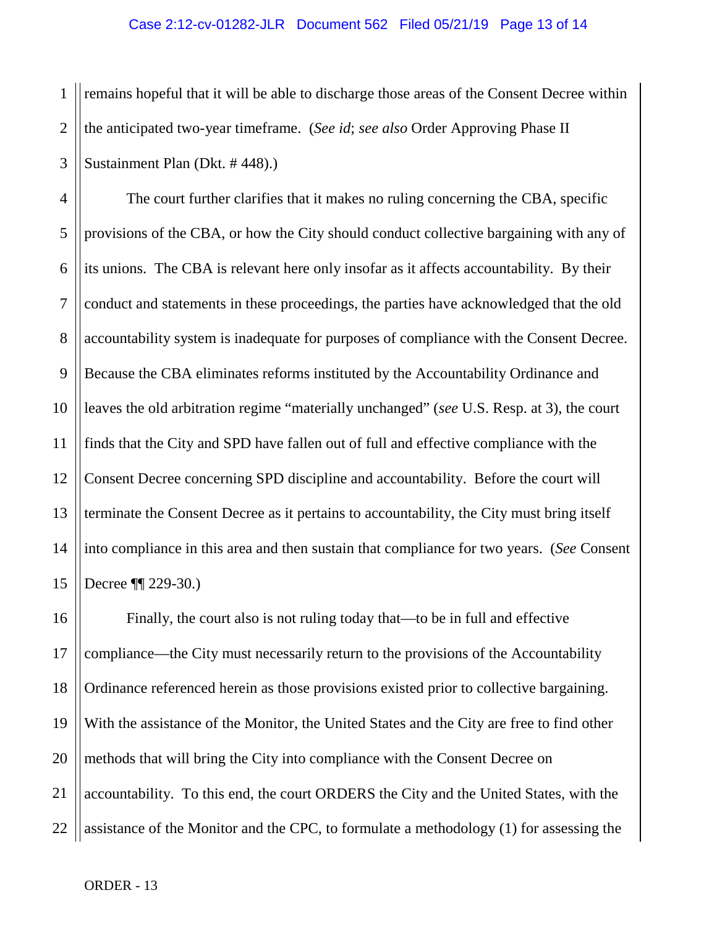1 2 3 remains hopeful that it will be able to discharge those areas of the Consent Decree within the anticipated two-year timeframe. (*See id*; *see also* Order Approving Phase II Sustainment Plan (Dkt. # 448).)

4 5 6 7 8 9 10 11 12 13 14 15 The court further clarifies that it makes no ruling concerning the CBA, specific provisions of the CBA, or how the City should conduct collective bargaining with any of its unions. The CBA is relevant here only insofar as it affects accountability. By their conduct and statements in these proceedings, the parties have acknowledged that the old accountability system is inadequate for purposes of compliance with the Consent Decree. Because the CBA eliminates reforms instituted by the Accountability Ordinance and leaves the old arbitration regime "materially unchanged" (*see* U.S. Resp. at 3), the court finds that the City and SPD have fallen out of full and effective compliance with the Consent Decree concerning SPD discipline and accountability. Before the court will terminate the Consent Decree as it pertains to accountability, the City must bring itself into compliance in this area and then sustain that compliance for two years. (*See* Consent Decree ¶¶ 229-30.)

16 17 18 19 20 21 22 Finally, the court also is not ruling today that—to be in full and effective compliance—the City must necessarily return to the provisions of the Accountability Ordinance referenced herein as those provisions existed prior to collective bargaining. With the assistance of the Monitor, the United States and the City are free to find other methods that will bring the City into compliance with the Consent Decree on accountability. To this end, the court ORDERS the City and the United States, with the assistance of the Monitor and the CPC, to formulate a methodology (1) for assessing the